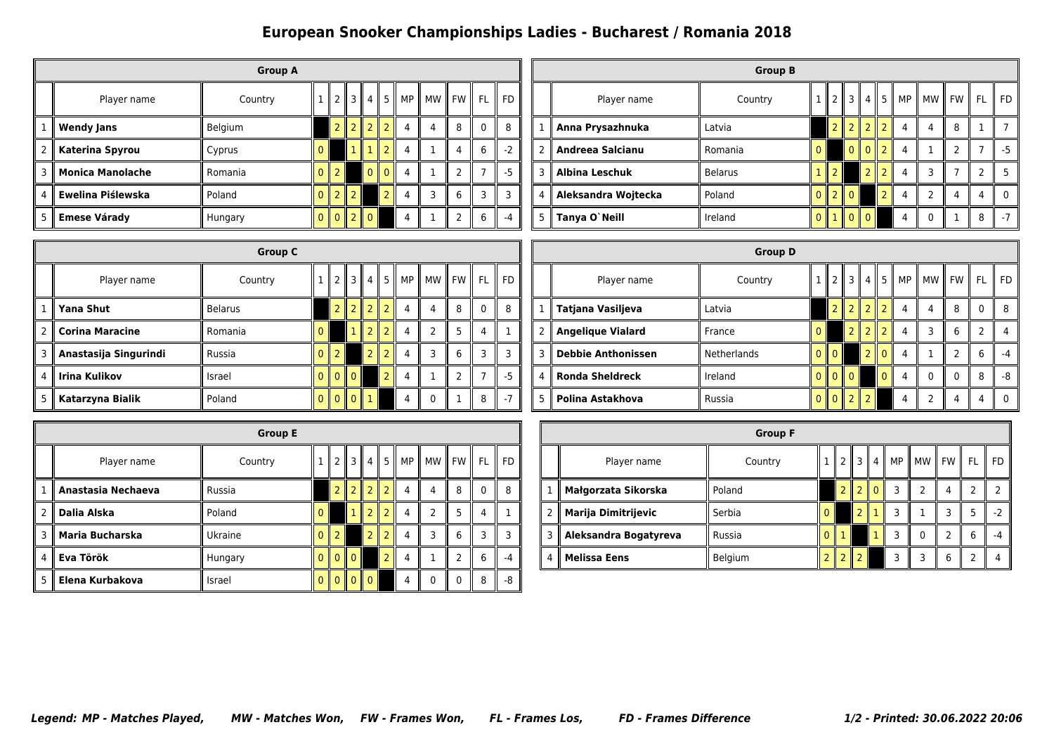## **European Snooker Championships Ladies - Bucharest / Romania 2018**

|   |                         | <b>Group A</b> |          |                          |                          |                |                           |      |         |   |              |       |
|---|-------------------------|----------------|----------|--------------------------|--------------------------|----------------|---------------------------|------|---------|---|--------------|-------|
|   | Player name             | Country        |          |                          | $2 \parallel 3$          | 4   5          |                           | MP I | MW   FW |   | FL.          | II FD |
| 1 | <b>Wendy Jans</b>       | Belgium        |          | $\overline{2}$           | $\overline{\phantom{a}}$ | $\overline{2}$ | $\overline{2}$            | 4    | 4       | 8 | $\mathbf{0}$ | 8     |
| 2 | Katerina Spyrou         | Cyprus         | 0        |                          | 1 I                      | $\mathbf{1}$   | $\overline{\phantom{0}}$  | 4    |         | 4 | 6            | $-2$  |
| 3 | <b>Monica Manolache</b> | Romania        | $\Omega$ | $\overline{\phantom{0}}$ |                          | $\Omega$       | $\parallel$ 0 $\parallel$ | 4    |         |   |              | $-5$  |
| 4 | Ewelina Piślewska       | Poland         | 0        | $\overline{2}$           | $\parallel$ 2            |                | $\overline{2}$            | 4    | 3       | 6 | 3            | 3     |
| 5 | <b>Emese Várady</b>     | Hungary        | $\Omega$ |                          | $0$    2    0            |                |                           | 4    |         |   | 6            | $-4$  |

|               |                     | <b>Group B</b> |              |                |                             |                |                          |   |                                                                           |   |   |           |
|---------------|---------------------|----------------|--------------|----------------|-----------------------------|----------------|--------------------------|---|---------------------------------------------------------------------------|---|---|-----------|
|               | Player name         | Country        |              | $\mathsf{I}$ 2 | $\parallel$ 3 $\parallel$ 4 |                |                          |   | $\parallel$ 5 $\parallel$ MP $\parallel$ MW $\parallel$ FW $\parallel$ FL |   |   | <b>FD</b> |
|               | Anna Prysazhnuka    | Latvia         |              |                | $\parallel$ 2               | $\overline{2}$ | II 2                     | 4 | 4                                                                         | 8 |   |           |
| $\mathcal{P}$ | Andreea Salcianu    | Romania        | O.           |                | $\Omega$                    | $\Omega$       | $\mathbb{I}$             | 4 |                                                                           |   |   | -5        |
| 3             | Albina Leschuk      | <b>Belarus</b> |              | ll 2           |                             | $\overline{2}$ | $\overline{2}$           | 4 | ς                                                                         |   |   |           |
| 4             | Aleksandra Wojtecka | Poland         | $\mathbf{0}$ | $\parallel$ 2  | $\mathbb{I}$ 0              |                | $\overline{\phantom{a}}$ |   | 2                                                                         | 4 | 4 |           |
| 5             | Tanya O`Neill       | Ireland        | $\Omega$     | $\mathbf{L}$   | $\overline{a}$              |                |                          |   | n                                                                         |   | 8 |           |

|                | <b>Group C</b>         |                |   |                             |                |                 |      |                |                |   |                |       |  |
|----------------|------------------------|----------------|---|-----------------------------|----------------|-----------------|------|----------------|----------------|---|----------------|-------|--|
|                | Player name            | Country        |   | 2  3                        |                | 4               | ll 5 | MP             | MW    FW<br>Ш  |   | <b>FL</b>      | II FD |  |
| 1              | Yana Shut              | <b>Belarus</b> |   | 2 <sub>1</sub>              |                | $2$   $2$   $2$ |      | 4              | 4              | 8 | $\mathbf 0$    | 8     |  |
| $\overline{2}$ | <b>Corina Maracine</b> | Romania        | 0 |                             | H              | $2 \mid 2$      |      | $\overline{4}$ | $\overline{2}$ | 5 | 4              |       |  |
| 3              | Anastasija Singurindi  | Russia         |   | $\overline{2}$              |                | $\overline{2}$  |      | $\overline{4}$ | 3              | 6 | 3              | 3     |  |
| 4              | Irina Kulikov          | Israel         |   | $\parallel$ 0 $\parallel$ 0 |                |                 | っ    | $\overline{4}$ | 1              | 2 | $\overline{7}$ | $-5$  |  |
| 5              | Katarzyna Bialik       | Poland         |   | $\mathbf{0}$<br>Ш           | $\overline{0}$ | 1               |      | 4              | 0              |   | 8              | $-7$  |  |

|                | <b>Group D</b>            |                    |          |                             |                     |                     |               |    |                |          |                |           |  |
|----------------|---------------------------|--------------------|----------|-----------------------------|---------------------|---------------------|---------------|----|----------------|----------|----------------|-----------|--|
|                | Player name               | Country            |          | 12131451                    |                     |                     |               | MP | ll mw ll fw ll |          | <b>FL</b>      | <b>FD</b> |  |
| 1              | Tatjana Vasiljeva         | Latvia             |          |                             |                     | $2$   $2$           | っ             | 4  | 4              | 8        | $\mathbf{0}$   | 8         |  |
| $\overline{2}$ | <b>Angelique Vialard</b>  | France             | 0        |                             | $\overline{2}$<br>Ш | $\overline{2}$      | ာ             | 4  | 3              | 6        | $\overline{2}$ | 4         |  |
| 3              | <b>Debbie Anthonissen</b> | <b>Netherlands</b> | $\Omega$ | $\Omega$                    |                     | $\overline{2}$      | $\parallel 0$ | 4  |                |          | 6              | $-4$      |  |
| $\overline{4}$ | <b>Ronda Sheldreck</b>    | Ireland            | $\Omega$ | $\parallel$ 0 $\parallel$ 0 |                     |                     | $\Omega$      | 4  | $\Omega$       | $\Omega$ | 8              | $-8$      |  |
| 5              | Polina Astakhova          | Russia             | $\Omega$ | $0$   2                     |                     | Ш<br>$\overline{2}$ |               | 4  | $\mathcal{P}$  | 4        | 4              | $\Omega$  |  |

|               | <b>Group E</b>     |         |   |                           |                |                |                |             |          |          |           |           |  |  |
|---------------|--------------------|---------|---|---------------------------|----------------|----------------|----------------|-------------|----------|----------|-----------|-----------|--|--|
|               | Player name        | Country |   | ll 2                      |                |                |                | 3  4  5  MP | МW       | ll FW l  | <b>FL</b> | <b>FD</b> |  |  |
|               | Anastasia Nechaeva | Russia  |   | 2 <sub>1</sub>            | $\overline{z}$ | $\mathsf{I}$   | $\overline{2}$ | 4           | 4        | 8        | 0         | 8         |  |  |
| $\mathcal{P}$ | Dalia Alska        | Poland  |   |                           | 1              | $\mathcal{P}$  | $\overline{2}$ | 4           | 2        | 5        | 4         |           |  |  |
| 3             | Maria Bucharska    | Ukraine |   |                           |                | $\mathcal{P}$  |                | 4           | 3        | 6        | 3         |           |  |  |
| 4             | Eva Török          | Hungary | 0 | $\mathbf{0}$ $\mathbf{0}$ |                |                | $\overline{2}$ | 4           |          | 2        | 6         | -4        |  |  |
| 5             | Elena Kurbakova    | Israel  |   | II O                      | $\mathsf{I}$ 0 | $\mathsf{I}$ 0 |                | 4           | $\Omega$ | $\Omega$ | 8         | -8        |  |  |

|   | <b>Group F</b>             |         |  |                          |                             |                |               |                |   |           |       |  |  |
|---|----------------------------|---------|--|--------------------------|-----------------------------|----------------|---------------|----------------|---|-----------|-------|--|--|
|   | Player name                | Country |  | $\mathcal{P}$            | $\parallel$ 3 $\parallel$ 4 |                |               | MP    MW    FW |   | <b>FL</b> | ll FD |  |  |
|   | Małgorzata Sikorska        | Poland  |  | $\overline{\phantom{0}}$ |                             | $\mathsf{I}$ 0 | $\mathcal{R}$ |                | 4 |           |       |  |  |
| 2 | <b>Marija Dimitrijevic</b> | Serbia  |  |                          |                             |                | ्र            |                |   |           | $-2$  |  |  |
| 3 | Aleksandra Bogatyreva      | Russia  |  |                          |                             |                | 3             | 0              |   | 6         |       |  |  |
| 4 | <b>Melissa Eens</b>        | Belgium |  |                          |                             |                | ₹             | ς              | 6 |           |       |  |  |